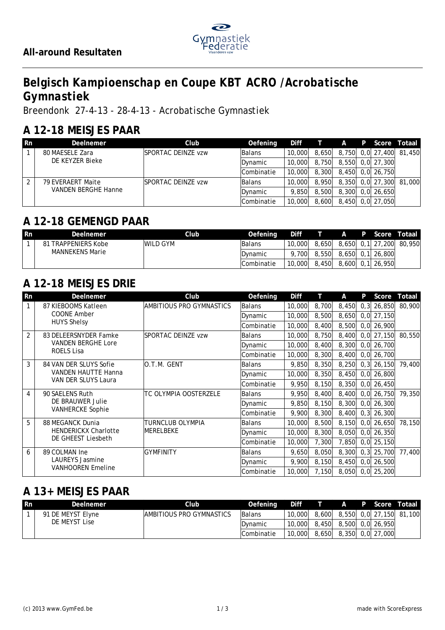

# *Belgisch Kampioenschap en Coupe KBT ACRO /Acrobatische Gymnastiek*

*Breendonk 27-4-13 - 28-4-13 - Acrobatische Gymnastiek*

#### **A 12-18 MEISJES PAAR**

| <b>Rn</b> | Deelnemer                  | Club                       | Oefening      | Diff   | T A   |  | P Score          | Totaal                  |
|-----------|----------------------------|----------------------------|---------------|--------|-------|--|------------------|-------------------------|
|           | 80 MAESELE Zara            | <b>ISPORTAC DEINZE vzw</b> | <b>Balans</b> | 10,000 | 8.650 |  |                  | 8,750 0,0 27,400 81,450 |
|           | DE KEYZER Bieke            |                            | Dynamic       | 10,000 | 8.750 |  | 8.550 0.0 27.300 |                         |
|           |                            |                            | Combinatie    | 10,000 | 8.300 |  | 8.450 0.0 26.750 |                         |
| ာ         | 79 EVERAERT Maite          | <b>ISPORTAC DEINZE vzw</b> | <b>Balans</b> | 10,000 | 8.950 |  |                  | 8,350 0,0 27,300 81,000 |
|           | <b>VANDEN BERGHE Hanne</b> |                            | Dynamic       | 9.850  | 8,500 |  | 8.300 0.0 26.650 |                         |
|           |                            |                            | Combinatie    | 10,000 | 8.600 |  | 8,450 0,0 27,050 |                         |

#### **A 12-18 GEMENGD PAAR**

| <b>Rn</b> | <b>Deelnemer</b>              | Club      | Oefening        | <b>Diff</b> |       | $\mathsf{A}$ | P Score          | Totaal                  |
|-----------|-------------------------------|-----------|-----------------|-------------|-------|--------------|------------------|-------------------------|
|           | <b>TRAPPENIERS Kobe</b><br>81 | IWILD GYM | <b>IBalans</b>  | 10,000      | 8.650 |              |                  | 8,650 0,1 27,200 80,950 |
|           | <b>MANNEKENS Marie</b>        |           | <b>IDvnamic</b> | 700         | 8,550 |              | 8.650 0.1 26.800 |                         |
|           |                               |           | Combinatie      | 10,000      | 8,450 |              | 8,600 0,1 26,950 |                         |

# **A 12-18 MEISJES DRIE**

| Rn             | Deelnemer                   | Club                      | Oefening      | <b>Diff</b> |       | Α     | P    | Score         | Totaal |
|----------------|-----------------------------|---------------------------|---------------|-------------|-------|-------|------|---------------|--------|
| 1              | 87 KIEBOOMS Katleen         | IAMBITIOUS PRO GYMNASTICS | Balans        | 10,000      | 8,700 | 8,450 | 0, 3 | 26,850        | 80,900 |
|                | <b>COONE Amber</b>          |                           | Dynamic       | 10,000      | 8,500 | 8,650 |      | $0,0$ 27,150  |        |
|                | <b>HUYS Shelsy</b>          |                           | Combinatie    | 10,000      | 8,400 | 8,500 |      | $0,0$ 26,900  |        |
| $\overline{2}$ | 83 DELEERSNYDER Famke       | <b>SPORTAC DEINZE vzw</b> | Balans        | 10,000      | 8,750 | 8,400 |      | $0,0$ 27,150  | 80,550 |
|                | <b>VANDEN BERGHE Lore</b>   |                           | Dynamic       | 10,000      | 8,400 | 8,300 |      | $0,0$ 26,700  |        |
|                | <b>ROELS Lisa</b>           |                           | Combinatie    | 10,000      | 8,300 | 8,400 |      | $0,0$ 26,700  |        |
| 3              | 84 VAN DER SLUYS Sofie      | O.T.M. GENT               | Balans        | 9,850       | 8,350 | 8,250 | 0, 3 | 26,150        | 79,400 |
|                | <b>VANDEN HAUTTE Hanna</b>  |                           | Dynamic       | 10,000      | 8,350 | 8,450 |      | $0,0$ 26,800  |        |
|                | VAN DER SLUYS Laura         |                           | Combinatie    | 9,950       | 8,150 | 8,350 | 0, 0 | 26,450        |        |
| 4              | 90 SAELENS Ruth             | TC OLYMPIA OOSTERZELE     | <b>Balans</b> | 9,950       | 8,400 | 8,400 |      | $0,0$ 26,750  | 79,350 |
|                | DE BRAUWER Julie            |                           | Dynamic       | 9,850       | 8,150 | 8,300 |      | $0,0$ 26,300  |        |
|                | <b>VANHERCKE Sophie</b>     |                           | Combinatie    | 9.900       | 8,300 | 8,400 |      | $0, 3$ 26,300 |        |
| 5              | 88 MEGANCK Dunia            | TURNCLUB OLYMPIA          | <b>Balans</b> | 10,000      | 8,500 | 8,150 | 0, 0 | 26,650        | 78,150 |
|                | <b>HENDERICKX Charlotte</b> | IMERELBEKE                | Dynamic       | 10,000      | 8,300 | 8,050 |      | $0,0$ 26,350  |        |
|                | DE GHEEST Liesbeth          |                           | Combinatie    | 10,000      | 7,300 | 7,850 | 0, 0 | 25,150        |        |
| 6              | 89 COLMAN Ine               | <b>GYMFINITY</b>          | Balans        | 9,650       | 8,050 | 8,300 | 0, 3 | 25,700        | 77,400 |
|                | <b>LAUREYS Jasmine</b>      |                           | Dynamic       | 9,900       | 8,150 | 8,450 |      | $0,0$ 26,500  |        |
|                | <b>VANHOOREN Emeline</b>    |                           | lCombinatie   | 10,000      | 7,150 | 8,050 |      | $0,0$ 25,200  |        |

#### **A 13+ MEISJES PAAR**

| l Rn | Deelnemer         | Club                            | Oefening          | Diff   |       | A P                    |  | Score Totaal            |
|------|-------------------|---------------------------------|-------------------|--------|-------|------------------------|--|-------------------------|
|      | 91 DE MEYST Elyne | <b>AMBITIOUS PRO GYMNASTICS</b> | <b>Balans</b>     | 10,000 | 8,600 |                        |  | 8,550 0,0 27,150 81,100 |
|      | DE MEYST Lise     |                                 | <b>IDvnamic</b>   | 10,000 |       | 8,450 8,500 0,0 26,950 |  |                         |
|      |                   |                                 | <b>Combinatie</b> | 10,000 |       | 8,650 8,350 0,0 27,000 |  |                         |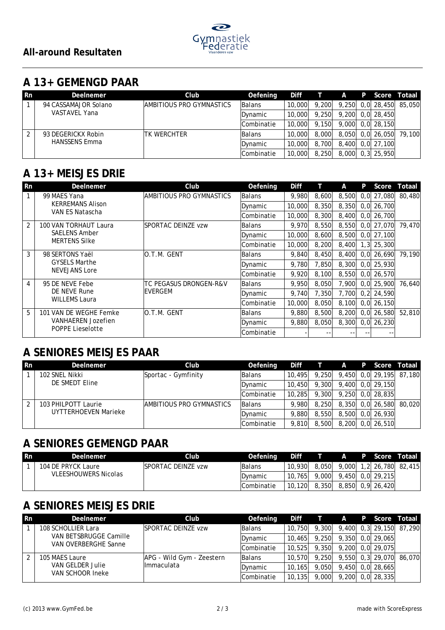

### **A 13+ GEMENGD PAAR**

| l Rn | Deelnemer            | Club                      | Oefening      | Diff   |       | A | P Score          | Totaal                  |
|------|----------------------|---------------------------|---------------|--------|-------|---|------------------|-------------------------|
|      | 94 CASSAMAJOR Solano | IAMBITIOUS PRO GYMNASTICS | <b>Balans</b> | 10.000 | 9.200 |   |                  | 9,250 0,0 28,450 85,050 |
|      | VASTAVEL Yana        |                           | Dynamic       | 10,000 | 9.250 |   | 9.200 0.0 28.450 |                         |
|      |                      |                           | Combinatie    | 10,000 | 9.150 |   | 9,000 0.0 28,150 |                         |
|      | 93 DEGERICKX Robin   | ITK WERCHTER              | <b>Balans</b> | 10.000 | 8,000 |   | 8,050 0,0 26,050 | 79.100                  |
|      | <b>HANSSENS Emma</b> |                           | Dynamic       | 10,000 | 8.700 |   | 8.400 0.0 27.100 |                         |
|      |                      |                           | Combinatie    | 10,000 | 8,250 |   | 8,000 0,3 25,950 |                         |

## **A 13+ MEISJES DRIE**

| Rn | Deelnemer                 | Club                       | Oefening      | Diff   |       | A     | P | Score          | Totaal |
|----|---------------------------|----------------------------|---------------|--------|-------|-------|---|----------------|--------|
|    | 99 MAES Yana              | IAMBITIOUS PRO GYMNASTICS  | Balans        | 9.980  | 8,600 | 8,500 |   | $0,0$ 27,080   | 80,480 |
|    | <b>KERREMANS Alison</b>   |                            | Dynamic       | 10,000 | 8,350 | 8,350 |   | $0,0$ 26,700   |        |
|    | VAN ES Natascha           |                            | lCombinatie   | 10,000 | 8,300 | 8,400 |   | $0.0$ 26.700   |        |
| 2  | 100 VAN TORHAUT Laura     | <b>ISPORTAC DEINZE vzw</b> | <b>Balans</b> | 9.970  | 8,550 | 8,550 |   | $0,0$ 27,070   | 79,470 |
|    | <b>SAELENS Amber</b>      |                            | Dynamic       | 10,000 | 8,600 | 8,500 |   | $0,0$ 27,100   |        |
|    | <b>MERTENS Silke</b>      |                            | lCombinatie   | 10,000 | 8,200 | 8,400 |   | $1,3$ 25,300   |        |
| 3  | 98 SERTONS Yaël           | IO.T.M. GENT               | <b>Balans</b> | 9.840  | 8,450 | 8,400 |   | $0.0$ 26.690   | 79,190 |
|    | <b>GYSELS Marthe</b>      |                            | Dynamic       | 9,780  | 7,850 | 8,300 |   | $0,0$ 25,930   |        |
|    | <b>NEVEJANS Lore</b>      |                            | Combinatie    | 9.920  | 8,100 | 8,550 |   | $0,0$ 26,570   |        |
| 4  | 95 DE NEVE Febe           | ITC PEGASUS DRONGEN-R&V    | <b>Balans</b> | 9.950  | 8.050 | 7.900 |   | $0.0$   25.900 | 76.640 |
|    | DE NEVE Rune              | IEVERGEM                   | Dynamic       | 9,740  | 7,350 | 7,700 |   | $0,2$ 24,590   |        |
|    | <b>WILLEMS Laura</b>      |                            | Combinatie    | 10,000 | 8,050 | 8,100 |   | $0,0$ 26,150   |        |
| 5  | 101 VAN DE WEGHE Femke    | IO.T.M. GENT               | Balans        | 9.880  | 8,500 | 8,200 |   | $0,0$ 26,580   | 52,810 |
|    | <b>VANHAEREN Jozefien</b> |                            | Dynamic       | 9,880  | 8,050 | 8,300 |   | $0,0$ 26,230   |        |
|    | <b>POPPE Lieselotte</b>   |                            | lCombinatie   |        | --    |       |   |                |        |

#### **A SENIORES MEISJES PAAR**

| <b>Rn</b>     | Deelnemer            | Club                             | Oefening      | Diff   |       | A |                  | P Score Totaal          |
|---------------|----------------------|----------------------------------|---------------|--------|-------|---|------------------|-------------------------|
|               | 102 SNEL Nikki       | Sportac - Gymfinity              | <b>Balans</b> | 10,495 | 9.250 |   |                  | 9,450 0,0 29,195 87,180 |
|               | DE SMEDT Eline       |                                  | Dynamic       | 10,450 | 9.300 |   | 9,400 0,0 29,150 |                         |
|               |                      |                                  | Combinatie    | 10,285 | 9,300 |   | 9.250 0.0 28.835 |                         |
| $\mathcal{P}$ | 103 PHILPOTT Laurie  | <b>IAMBITIOUS PRO GYMNASTICS</b> | <b>Balans</b> | 9.980  | 8.250 |   | 8,350 0,0 26,580 | 80.020                  |
|               | UYTTERHOEVEN Marieke |                                  | Dynamic       | 9,880  | 8,550 |   | 8,500 0,0 26,930 |                         |
|               |                      |                                  | Combinatie    | 9.810  | 8,500 |   | 8,200 0,0 26,510 |                         |

### **A SENIORES GEMENGD PAAR**

| <b>Rn</b> | Deelnemer                   | Clubl                      | Oefening        | <b>Diff</b> |       | $\mathsf{A}$ | P Score          | Totaal                  |
|-----------|-----------------------------|----------------------------|-----------------|-------------|-------|--------------|------------------|-------------------------|
|           | 104 DE PRYCK Laure          | <b>ISPORTAC DEINZE vzw</b> | <b>IBalans</b>  | 10.930      | 8.050 |              |                  | 9,000 1,2 26,780 82,415 |
|           | <b>VLEESHOUWERS Nicolas</b> |                            | <b>IDvnamic</b> | 10.765      | 9,000 |              | 9,450 0,0 29,215 |                         |
|           |                             |                            | lCombinatie     | 10,120      | 8.350 |              | 8,850 0,9 26,420 |                         |

## **A SENIORES MEISJES DRIE**

| <b>Rn</b>      | Deelnemer                            | Club                      | Oefening      | Diff    | معاريب | $\mathsf{A}$ |                    | P Score Totaall         |
|----------------|--------------------------------------|---------------------------|---------------|---------|--------|--------------|--------------------|-------------------------|
|                | 108 SCHOLLIER Lara                   | ISPORTAC DEINZE vzw       | Balans        | 10,750  | 9,300  |              |                    | 9,400 0,3 29,150 87,290 |
|                | VAN BETSBRUGGE Camille               |                           | Dynamic       | 10.465  | 9.250  |              | 9,350 0,0 29,065   |                         |
|                | VAN OVERBERGHE Sanne                 |                           | Combinatie    | 10.525  | 9.350  |              | 9,200 0,0 29,075   |                         |
| $\overline{2}$ | 105 MAES Laure                       | APG - Wild Gym - Zeestern | <b>Balans</b> | 10.570  | 9.250  |              |                    | 9,550 0,3 29,070 86,070 |
|                | VAN GELDER Julie<br>VAN SCHOOR Ineke | Ilmmaculata               | Dynamic       | 10.165  | 9.050  | 9,450        | 0.0128.665         |                         |
|                |                                      |                           | Combinatie    | 10, 135 | 9,000  |              | $9,200$ 0,0 28,335 |                         |